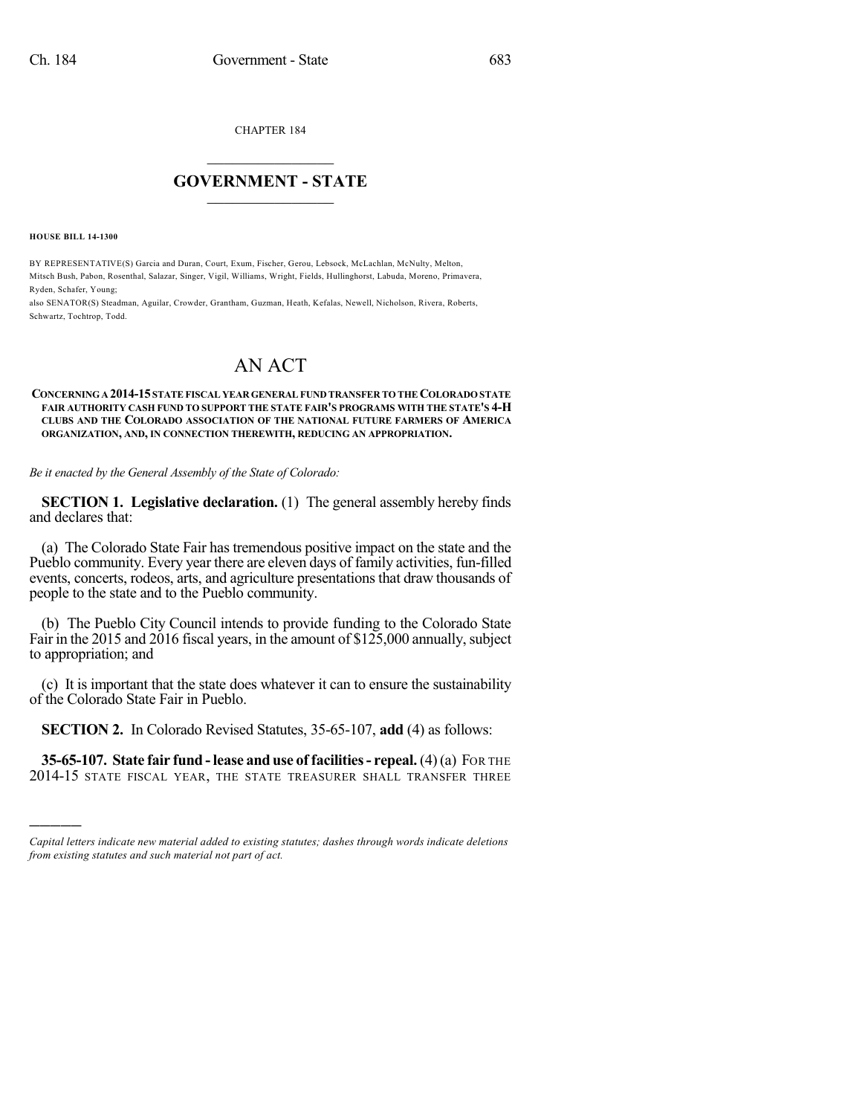CHAPTER 184

## $\mathcal{L}_\text{max}$  . The set of the set of the set of the set of the set of the set of the set of the set of the set of the set of the set of the set of the set of the set of the set of the set of the set of the set of the set **GOVERNMENT - STATE**  $\_$   $\_$

**HOUSE BILL 14-1300**

)))))

BY REPRESENTATIVE(S) Garcia and Duran, Court, Exum, Fischer, Gerou, Lebsock, McLachlan, McNulty, Melton, Mitsch Bush, Pabon, Rosenthal, Salazar, Singer, Vigil, Williams, Wright, Fields, Hullinghorst, Labuda, Moreno, Primavera, Ryden, Schafer, Young;

also SENATOR(S) Steadman, Aguilar, Crowder, Grantham, Guzman, Heath, Kefalas, Newell, Nicholson, Rivera, Roberts, Schwartz, Tochtrop, Todd.

## AN ACT

## **CONCERNINGA 2014-15STATEFISCAL YEAR GENERALFUND TRANSFER TO THECOLORADOSTATE FAIR AUTHORITY CASH FUND TO SUPPORT THE STATE FAIR'S PROGRAMS WITH THE STATE'S 4-H CLUBS AND THE COLORADO ASSOCIATION OF THE NATIONAL FUTURE FARMERS OF AMERICA ORGANIZATION, AND, IN CONNECTION THEREWITH, REDUCING AN APPROPRIATION.**

*Be it enacted by the General Assembly of the State of Colorado:*

**SECTION 1. Legislative declaration.** (1) The general assembly hereby finds and declares that:

(a) The Colorado State Fair has tremendous positive impact on the state and the Pueblo community. Every year there are eleven days of family activities, fun-filled events, concerts, rodeos, arts, and agriculture presentations that draw thousands of people to the state and to the Pueblo community.

(b) The Pueblo City Council intends to provide funding to the Colorado State Fair in the 2015 and 2016 fiscal years, in the amount of \$125,000 annually, subject to appropriation; and

(c) It is important that the state does whatever it can to ensure the sustainability of the Colorado State Fair in Pueblo.

**SECTION 2.** In Colorado Revised Statutes, 35-65-107, **add** (4) as follows:

**35-65-107. State fair fund -lease and use of facilities- repeal.** (4)(a) FOR THE 2014-15 STATE FISCAL YEAR, THE STATE TREASURER SHALL TRANSFER THREE

*Capital letters indicate new material added to existing statutes; dashes through words indicate deletions from existing statutes and such material not part of act.*